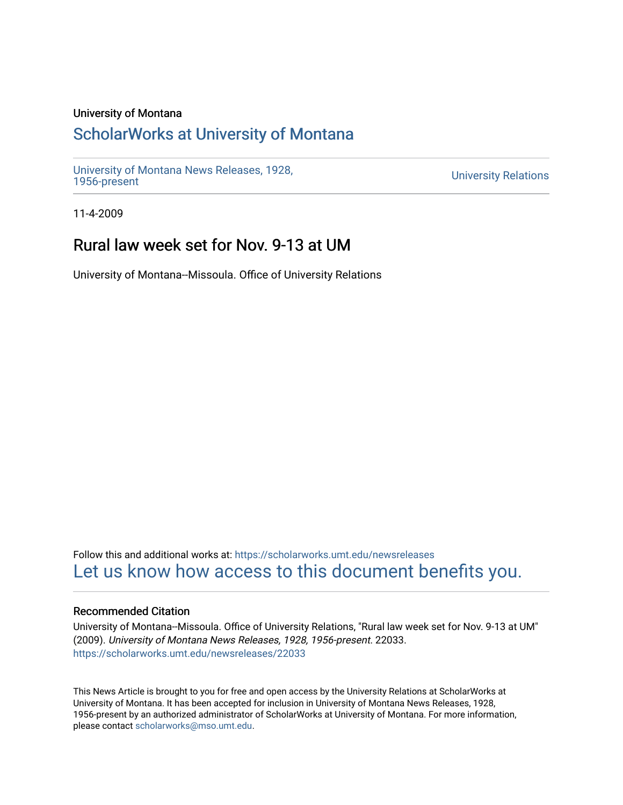### University of Montana

## [ScholarWorks at University of Montana](https://scholarworks.umt.edu/)

[University of Montana News Releases, 1928,](https://scholarworks.umt.edu/newsreleases) 

**University Relations** 

11-4-2009

# Rural law week set for Nov. 9-13 at UM

University of Montana--Missoula. Office of University Relations

Follow this and additional works at: [https://scholarworks.umt.edu/newsreleases](https://scholarworks.umt.edu/newsreleases?utm_source=scholarworks.umt.edu%2Fnewsreleases%2F22033&utm_medium=PDF&utm_campaign=PDFCoverPages) [Let us know how access to this document benefits you.](https://goo.gl/forms/s2rGfXOLzz71qgsB2) 

### Recommended Citation

University of Montana--Missoula. Office of University Relations, "Rural law week set for Nov. 9-13 at UM" (2009). University of Montana News Releases, 1928, 1956-present. 22033. [https://scholarworks.umt.edu/newsreleases/22033](https://scholarworks.umt.edu/newsreleases/22033?utm_source=scholarworks.umt.edu%2Fnewsreleases%2F22033&utm_medium=PDF&utm_campaign=PDFCoverPages) 

This News Article is brought to you for free and open access by the University Relations at ScholarWorks at University of Montana. It has been accepted for inclusion in University of Montana News Releases, 1928, 1956-present by an authorized administrator of ScholarWorks at University of Montana. For more information, please contact [scholarworks@mso.umt.edu.](mailto:scholarworks@mso.umt.edu)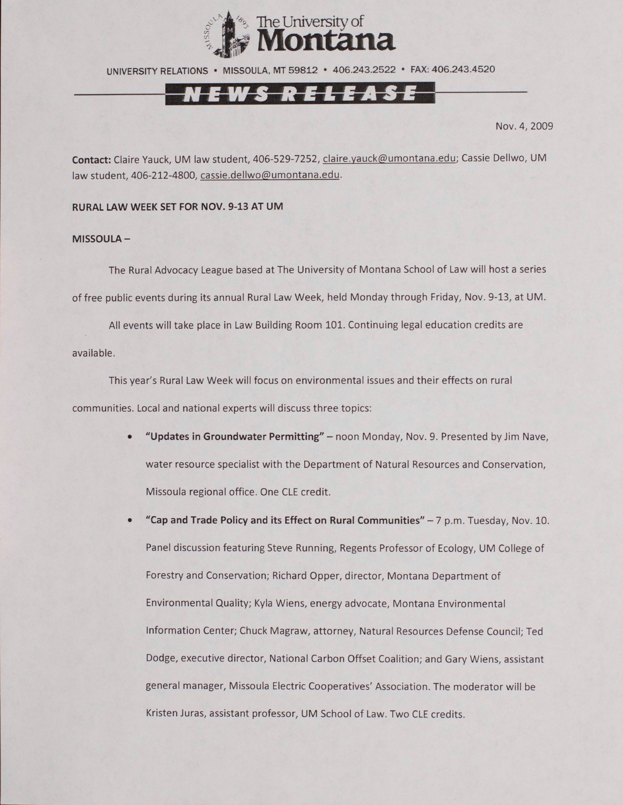

UNIVERSITY RELATIONS • MISSOULA. MT 59812 • 406.243.2522 • FAX: 406.243.4520

Nov. 4, 2009

Contact: Claire Yauck, UM law student, 406-529-7252, claire.yauck@umontana.edu; Cassie Dellwo, UM law student, 406-212-4800, cassie.dellwo@umontana.edu.

### **RURAL LAW WEEK SET FOR NOV. 9-13 AT UM**

### **MISSOULA-**

The Rural Advocacy League based at The University of Montana School of Law will host a series of free public events during its annual Rural Law Week, held Monday through Friday, Nov. 9-13, at UM.

All events will take place in Law Building Room 101. Continuing legal education credits are available.

This year's Rural Law Week will focus on environmental issues and their effects on rural communities. Local and national experts will discuss three topics:

- **"Updates in Groundwater Permitting"**  noon Monday, Nov. 9. Presented by Jim Nave, water resource specialist with the Department of Natural Resources and Conservation, Missoula regional office. One CLE credit.
- **"Cap and Trade Policy and its Effect on Rural Communities"**  7 p.m. Tuesday, Nov. 10. Panel discussion featuring Steve Running, Regents Professor of Ecology, UM College of Forestry and Conservation; Richard Opper, director, Montana Department of Environmental Quality; Kyla Wiens, energy advocate, Montana Environmental Information Center; Chuck Magraw, attorney, Natural Resources Defense Council; Ted Dodge, executive director, National Carbon Offset Coalition; and Gary Wiens, assistant general manager, Missoula Electric Cooperatives' Association. The moderator will be Kristen Juras, assistant professor, UM School of Law. Two CLE credits.